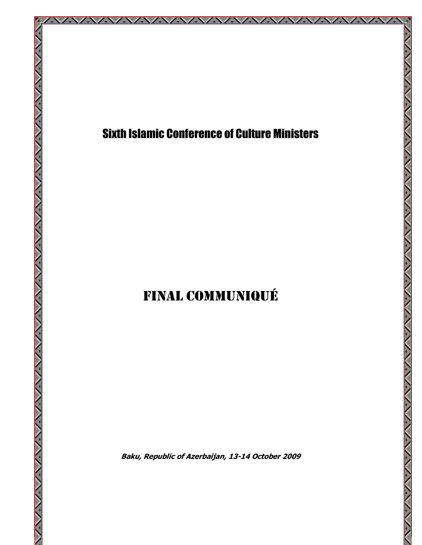

## Sixth Islamic Conference of Culture Ministers

AZAZAZA AZAZAZA

公

ハント・アンション・アンション・アンション

**SANTANY STATE** 

XXX

## FINAL COMMUNIQUÉ

Baku, Republic of Azerbaijan, 13-14 October 2009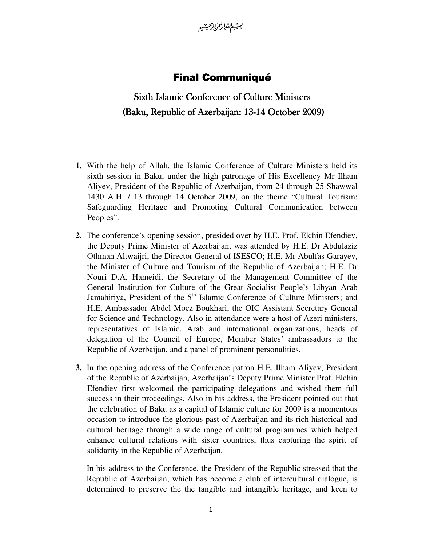

## **Final Communiqué**

## Sixth Islamic Conference of Culture Ministers (Baku, Republic of Azerbaijan: 13-14 October 2009)

- **1.** With the help of Allah, the Islamic Conference of Culture Ministers held its sixth session in Baku, under the high patronage of His Excellency Mr Ilham Aliyev, President of the Republic of Azerbaijan, from 24 through 25 Shawwal 1430 A.H. / 13 through 14 October 2009, on the theme "Cultural Tourism: Safeguarding Heritage and Promoting Cultural Communication between Peoples".
- **2.** The conference's opening session, presided over by H.E. Prof. Elchin Efendiev, the Deputy Prime Minister of Azerbaijan, was attended by H.E. Dr Abdulaziz Othman Altwaijri, the Director General of ISESCO; H.E. Mr Abulfas Garayev, the Minister of Culture and Tourism of the Republic of Azerbaijan; H.E. Dr Nouri D.A. Hameidi, the Secretary of the Management Committee of the General Institution for Culture of the Great Socialist People's Libyan Arab Jamahiriya, President of the  $5<sup>th</sup>$  Islamic Conference of Culture Ministers; and H.E. Ambassador Abdel Moez Boukhari, the OIC Assistant Secretary General for Science and Technology. Also in attendance were a host of Azeri ministers, representatives of Islamic, Arab and international organizations, heads of delegation of the Council of Europe, Member States' ambassadors to the Republic of Azerbaijan, and a panel of prominent personalities.
- **3.** In the opening address of the Conference patron H.E. Ilham Aliyev, President of the Republic of Azerbaijan, Azerbaijan's Deputy Prime Minister Prof. Elchin Efendiev first welcomed the participating delegations and wished them full success in their proceedings. Also in his address, the President pointed out that the celebration of Baku as a capital of Islamic culture for 2009 is a momentous occasion to introduce the glorious past of Azerbaijan and its rich historical and cultural heritage through a wide range of cultural programmes which helped enhance cultural relations with sister countries, thus capturing the spirit of solidarity in the Republic of Azerbaijan.

In his address to the Conference, the President of the Republic stressed that the Republic of Azerbaijan, which has become a club of intercultural dialogue, is determined to preserve the the tangible and intangible heritage, and keen to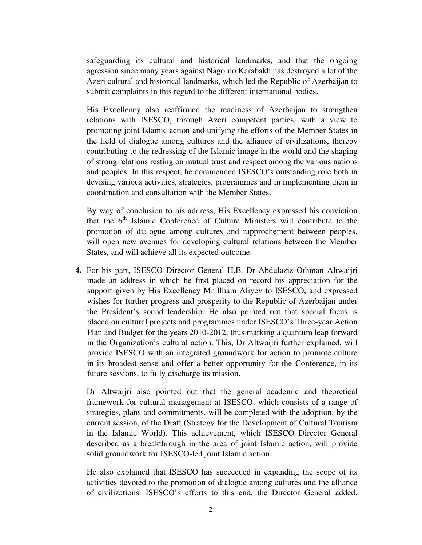safeguarding its cultural and historical landmarks, and that the ongoing agression since many years against Nagorno Karabakh has destroyed a lot of the Azeri cultural and historical landmarks, which led the Republic of Azerbaijan to submit complaints in this regard to the different international bodies.

His Excellency also reaffirmed the readiness of Azerbaijan to strengthen relations with ISESCO, through Azeri competent parties, with a view to promoting joint Islamic action and unifying the efforts of the Member States in the field of dialogue among cultures and the alliance of civilizations, thereby contributing to the redressing of the Islamic image in the world and the shaping of strong relations resting on mutual trust and respect among the various nations and peoples. In this respect, he commended ISESCO's outstanding role both in devising various activities, strategies, programmes and in implementing them in coordination and consultation with the Member States.

By way of conclusion to his address, His Excellency expressed his conviction that the  $6<sup>th</sup>$  Islamic Conference of Culture Ministers will contribute to the promotion of dialogue among cultures and rapprochement between peoples, will open new avenues for developing cultural relations between the Member States, and will achieve all its expected outcome.

**4.** For his part, ISESCO Director General H.E. Dr Abdulaziz Othman Altwaijri made an address in which he first placed on record his appreciation for the support given by His Excellency Mr Ilham Aliyev to ISESCO, and expressed wishes for further progress and prosperity to the Republic of Azerbaijan under the President's sound leadership. He also pointed out that special focus is placed on cultural projects and programmes under ISESCO's Three-year Action Plan and Budget for the years 2010-2012, thus marking a quantum leap forward in the Organization's cultural action. This, Dr Altwaijri further explained, will provide ISESCO with an integrated groundwork for action to promote culture in its broadest sense and offer a better opportunity for the Conference, in its future sessions, to fully discharge its mission.

Dr Altwaijri also pointed out that the general academic and theoretical framework for cultural management at ISESCO, which consists of a range of strategies, plans and commitments, will be completed with the adoption, by the current session, of the Draft (Strategy for the Development of Cultural Tourism in the Islamic World). This achievement, which ISESCO Director General described as a breakthrough in the area of joint Islamic action, will provide solid groundwork for ISESCO-led joint Islamic action.

He also explained that ISESCO has succeeded in expanding the scope of its activities devoted to the promotion of dialogue among cultures and the alliance of civilizations. ISESCO's efforts to this end, the Director General added,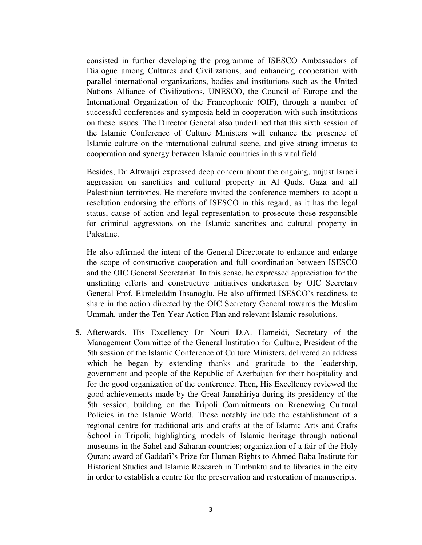consisted in further developing the programme of ISESCO Ambassadors of Dialogue among Cultures and Civilizations, and enhancing cooperation with parallel international organizations, bodies and institutions such as the United Nations Alliance of Civilizations, UNESCO, the Council of Europe and the International Organization of the Francophonie (OIF), through a number of successful conferences and symposia held in cooperation with such institutions on these issues. The Director General also underlined that this sixth session of the Islamic Conference of Culture Ministers will enhance the presence of Islamic culture on the international cultural scene, and give strong impetus to cooperation and synergy between Islamic countries in this vital field.

Besides, Dr Altwaijri expressed deep concern about the ongoing, unjust Israeli aggression on sanctities and cultural property in Al Quds, Gaza and all Palestinian territories. He therefore invited the conference members to adopt a resolution endorsing the efforts of ISESCO in this regard, as it has the legal status, cause of action and legal representation to prosecute those responsible for criminal aggressions on the Islamic sanctities and cultural property in Palestine.

He also affirmed the intent of the General Directorate to enhance and enlarge the scope of constructive cooperation and full coordination between ISESCO and the OIC General Secretariat. In this sense, he expressed appreciation for the unstinting efforts and constructive initiatives undertaken by OIC Secretary General Prof. Ekmeleddin Ihsanoglu. He also affirmed ISESCO's readiness to share in the action directed by the OIC Secretary General towards the Muslim Ummah, under the Ten-Year Action Plan and relevant Islamic resolutions.

**5.** Afterwards, His Excellency Dr Nouri D.A. Hameidi, Secretary of the Management Committee of the General Institution for Culture, President of the 5th session of the Islamic Conference of Culture Ministers, delivered an address which he began by extending thanks and gratitude to the leadership, government and people of the Republic of Azerbaijan for their hospitality and for the good organization of the conference. Then, His Excellency reviewed the good achievements made by the Great Jamahiriya during its presidency of the 5th session, building on the Tripoli Commitments on Rrenewing Cultural Policies in the Islamic World. These notably include the establishment of a regional centre for traditional arts and crafts at the of Islamic Arts and Crafts School in Tripoli; highlighting models of Islamic heritage through national museums in the Sahel and Saharan countries; organization of a fair of the Holy Quran; award of Gaddafi's Prize for Human Rights to Ahmed Baba Institute for Historical Studies and Islamic Research in Timbuktu and to libraries in the city in order to establish a centre for the preservation and restoration of manuscripts.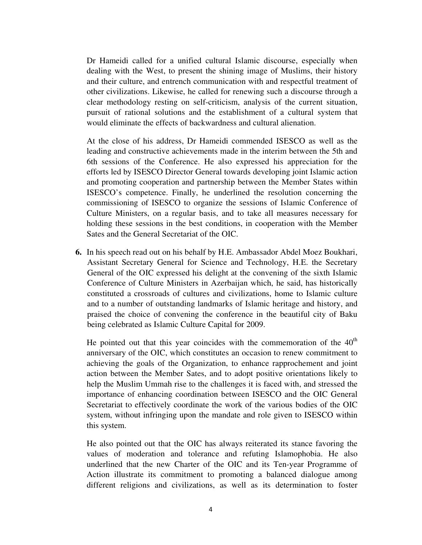Dr Hameidi called for a unified cultural Islamic discourse, especially when dealing with the West, to present the shining image of Muslims, their history and their culture, and entrench communication with and respectful treatment of other civilizations. Likewise, he called for renewing such a discourse through a clear methodology resting on self-criticism, analysis of the current situation, pursuit of rational solutions and the establishment of a cultural system that would eliminate the effects of backwardness and cultural alienation.

At the close of his address, Dr Hameidi commended ISESCO as well as the leading and constructive achievements made in the interim between the 5th and 6th sessions of the Conference. He also expressed his appreciation for the efforts led by ISESCO Director General towards developing joint Islamic action and promoting cooperation and partnership between the Member States within ISESCO's competence. Finally, he underlined the resolution concerning the commissioning of ISESCO to organize the sessions of Islamic Conference of Culture Ministers, on a regular basis, and to take all measures necessary for holding these sessions in the best conditions, in cooperation with the Member Sates and the General Secretariat of the OIC.

**6.** In his speech read out on his behalf by H.E. Ambassador Abdel Moez Boukhari, Assistant Secretary General for Science and Technology, H.E. the Secretary General of the OIC expressed his delight at the convening of the sixth Islamic Conference of Culture Ministers in Azerbaijan which, he said, has historically constituted a crossroads of cultures and civilizations, home to Islamic culture and to a number of outstanding landmarks of Islamic heritage and history, and praised the choice of convening the conference in the beautiful city of Baku being celebrated as Islamic Culture Capital for 2009.

He pointed out that this year coincides with the commemoration of the  $40<sup>th</sup>$ anniversary of the OIC, which constitutes an occasion to renew commitment to achieving the goals of the Organization, to enhance rapprochement and joint action between the Member Sates, and to adopt positive orientations likely to help the Muslim Ummah rise to the challenges it is faced with, and stressed the importance of enhancing coordination between ISESCO and the OIC General Secretariat to effectively coordinate the work of the various bodies of the OIC system, without infringing upon the mandate and role given to ISESCO within this system.

He also pointed out that the OIC has always reiterated its stance favoring the values of moderation and tolerance and refuting Islamophobia. He also underlined that the new Charter of the OIC and its Ten-year Programme of Action illustrate its commitment to promoting a balanced dialogue among different religions and civilizations, as well as its determination to foster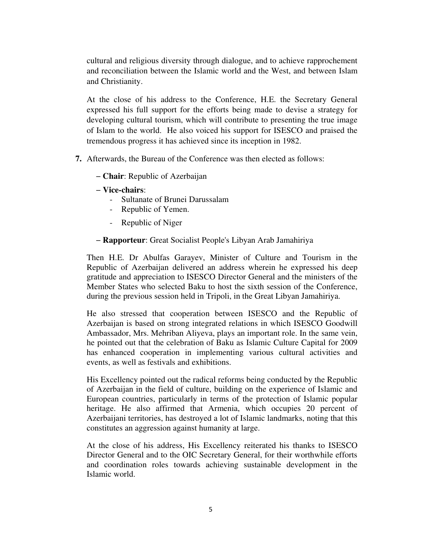cultural and religious diversity through dialogue, and to achieve rapprochement and reconciliation between the Islamic world and the West, and between Islam and Christianity.

At the close of his address to the Conference, H.E. the Secretary General expressed his full support for the efforts being made to devise a strategy for developing cultural tourism, which will contribute to presenting the true image of Islam to the world. He also voiced his support for ISESCO and praised the tremendous progress it has achieved since its inception in 1982.

- **7.** Afterwards, the Bureau of the Conference was then elected as follows:
	- − **Chair**: Republic of Azerbaijan
	- − **Vice-chairs**:
		- Sultanate of Brunei Darussalam
		- Republic of Yemen.
		- Republic of Niger
	- − **Rapporteur**: Great Socialist People's Libyan Arab Jamahiriya

Then H.E. Dr Abulfas Garayev, Minister of Culture and Tourism in the Republic of Azerbaijan delivered an address wherein he expressed his deep gratitude and appreciation to ISESCO Director General and the ministers of the Member States who selected Baku to host the sixth session of the Conference, during the previous session held in Tripoli, in the Great Libyan Jamahiriya.

He also stressed that cooperation between ISESCO and the Republic of Azerbaijan is based on strong integrated relations in which ISESCO Goodwill Ambassador, Mrs. Mehriban Aliyeva, plays an important role. In the same vein, he pointed out that the celebration of Baku as Islamic Culture Capital for 2009 has enhanced cooperation in implementing various cultural activities and events, as well as festivals and exhibitions.

His Excellency pointed out the radical reforms being conducted by the Republic of Azerbaijan in the field of culture, building on the experience of Islamic and European countries, particularly in terms of the protection of Islamic popular heritage. He also affirmed that Armenia, which occupies 20 percent of Azerbaijani territories, has destroyed a lot of Islamic landmarks, noting that this constitutes an aggression against humanity at large.

At the close of his address, His Excellency reiterated his thanks to ISESCO Director General and to the OIC Secretary General, for their worthwhile efforts and coordination roles towards achieving sustainable development in the Islamic world.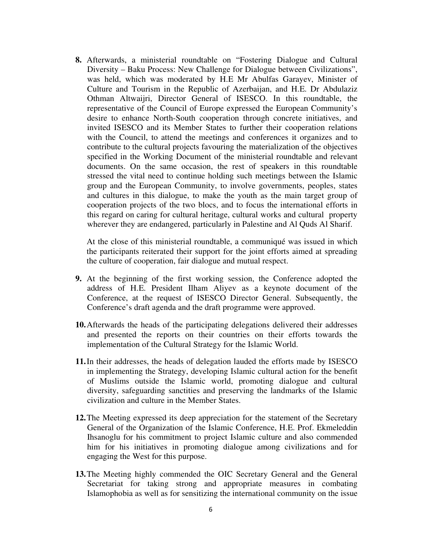**8.** Afterwards, a ministerial roundtable on "Fostering Dialogue and Cultural Diversity – Baku Process: New Challenge for Dialogue between Civilizations", was held, which was moderated by H.E Mr Abulfas Garayev, Minister of Culture and Tourism in the Republic of Azerbaijan, and H.E. Dr Abdulaziz Othman Altwaijri, Director General of ISESCO. In this roundtable, the representative of the Council of Europe expressed the European Community's desire to enhance North-South cooperation through concrete initiatives, and invited ISESCO and its Member States to further their cooperation relations with the Council, to attend the meetings and conferences it organizes and to contribute to the cultural projects favouring the materialization of the objectives specified in the Working Document of the ministerial roundtable and relevant documents. On the same occasion, the rest of speakers in this roundtable stressed the vital need to continue holding such meetings between the Islamic group and the European Community, to involve governments, peoples, states and cultures in this dialogue, to make the youth as the main target group of cooperation projects of the two blocs, and to focus the international efforts in this regard on caring for cultural heritage, cultural works and cultural property wherever they are endangered, particularly in Palestine and Al Quds Al Sharif.

At the close of this ministerial roundtable, a communiqué was issued in which the participants reiterated their support for the joint efforts aimed at spreading the culture of cooperation, fair dialogue and mutual respect.

- **9.** At the beginning of the first working session, the Conference adopted the address of H.E. President Ilham Aliyev as a keynote document of the Conference, at the request of ISESCO Director General. Subsequently, the Conference's draft agenda and the draft programme were approved.
- **10.**Afterwards the heads of the participating delegations delivered their addresses and presented the reports on their countries on their efforts towards the implementation of the Cultural Strategy for the Islamic World.
- **11.**In their addresses, the heads of delegation lauded the efforts made by ISESCO in implementing the Strategy, developing Islamic cultural action for the benefit of Muslims outside the Islamic world, promoting dialogue and cultural diversity, safeguarding sanctities and preserving the landmarks of the Islamic civilization and culture in the Member States.
- **12.**The Meeting expressed its deep appreciation for the statement of the Secretary General of the Organization of the Islamic Conference, H.E. Prof. Ekmeleddin Ihsanoglu for his commitment to project Islamic culture and also commended him for his initiatives in promoting dialogue among civilizations and for engaging the West for this purpose.
- **13.**The Meeting highly commended the OIC Secretary General and the General Secretariat for taking strong and appropriate measures in combating Islamophobia as well as for sensitizing the international community on the issue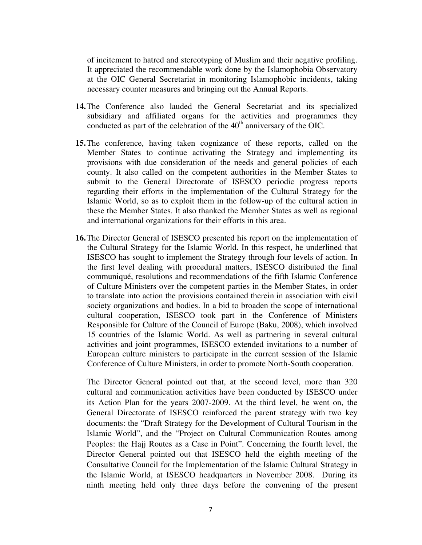of incitement to hatred and stereotyping of Muslim and their negative profiling. It appreciated the recommendable work done by the Islamophobia Observatory at the OIC General Secretariat in monitoring Islamophobic incidents, taking necessary counter measures and bringing out the Annual Reports.

- **14.**The Conference also lauded the General Secretariat and its specialized subsidiary and affiliated organs for the activities and programmes they conducted as part of the celebration of the  $40<sup>th</sup>$  anniversary of the OIC.
- **15.**The conference, having taken cognizance of these reports, called on the Member States to continue activating the Strategy and implementing its provisions with due consideration of the needs and general policies of each county. It also called on the competent authorities in the Member States to submit to the General Directorate of ISESCO periodic progress reports regarding their efforts in the implementation of the Cultural Strategy for the Islamic World, so as to exploit them in the follow-up of the cultural action in these the Member States. It also thanked the Member States as well as regional and international organizations for their efforts in this area.
- **16.**The Director General of ISESCO presented his report on the implementation of the Cultural Strategy for the Islamic World. In this respect, he underlined that ISESCO has sought to implement the Strategy through four levels of action. In the first level dealing with procedural matters, ISESCO distributed the final communiqué, resolutions and recommendations of the fifth Islamic Conference of Culture Ministers over the competent parties in the Member States, in order to translate into action the provisions contained therein in association with civil society organizations and bodies. In a bid to broaden the scope of international cultural cooperation, ISESCO took part in the Conference of Ministers Responsible for Culture of the Council of Europe (Baku, 2008), which involved 15 countries of the Islamic World. As well as partnering in several cultural activities and joint programmes, ISESCO extended invitations to a number of European culture ministers to participate in the current session of the Islamic Conference of Culture Ministers, in order to promote North-South cooperation.

The Director General pointed out that, at the second level, more than 320 cultural and communication activities have been conducted by ISESCO under its Action Plan for the years 2007-2009. At the third level, he went on, the General Directorate of ISESCO reinforced the parent strategy with two key documents: the "Draft Strategy for the Development of Cultural Tourism in the Islamic World", and the "Project on Cultural Communication Routes among Peoples: the Hajj Routes as a Case in Point". Concerning the fourth level, the Director General pointed out that ISESCO held the eighth meeting of the Consultative Council for the Implementation of the Islamic Cultural Strategy in the Islamic World, at ISESCO headquarters in November 2008. During its ninth meeting held only three days before the convening of the present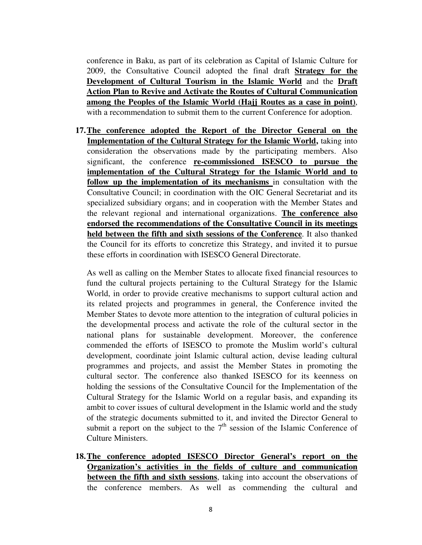conference in Baku, as part of its celebration as Capital of Islamic Culture for 2009, the Consultative Council adopted the final draft **Strategy for the Development of Cultural Tourism in the Islamic World** and the **Draft Action Plan to Revive and Activate the Routes of Cultural Communication among the Peoples of the Islamic World (Hajj Routes as a case in point)**, with a recommendation to submit them to the current Conference for adoption.

**17.The conference adopted the Report of the Director General on the Implementation of the Cultural Strategy for the Islamic World,** taking into consideration the observations made by the participating members. Also significant, the conference **re-commissioned ISESCO to pursue the implementation of the Cultural Strategy for the Islamic World and to follow up the implementation of its mechanisms** in consultation with the Consultative Council; in coordination with the OIC General Secretariat and its specialized subsidiary organs; and in cooperation with the Member States and the relevant regional and international organizations. **The conference also endorsed the recommendations of the Consultative Council in its meetings held between the fifth and sixth sessions of the Conference**. It also thanked the Council for its efforts to concretize this Strategy, and invited it to pursue these efforts in coordination with ISESCO General Directorate.

As well as calling on the Member States to allocate fixed financial resources to fund the cultural projects pertaining to the Cultural Strategy for the Islamic World, in order to provide creative mechanisms to support cultural action and its related projects and programmes in general, the Conference invited the Member States to devote more attention to the integration of cultural policies in the developmental process and activate the role of the cultural sector in the national plans for sustainable development. Moreover, the conference commended the efforts of ISESCO to promote the Muslim world's cultural development, coordinate joint Islamic cultural action, devise leading cultural programmes and projects, and assist the Member States in promoting the cultural sector. The conference also thanked ISESCO for its keenness on holding the sessions of the Consultative Council for the Implementation of the Cultural Strategy for the Islamic World on a regular basis, and expanding its ambit to cover issues of cultural development in the Islamic world and the study of the strategic documents submitted to it, and invited the Director General to submit a report on the subject to the  $7<sup>th</sup>$  session of the Islamic Conference of Culture Ministers.

**18.The conference adopted ISESCO Director General's report on the Organization's activities in the fields of culture and communication between the fifth and sixth sessions**, taking into account the observations of the conference members. As well as commending the cultural and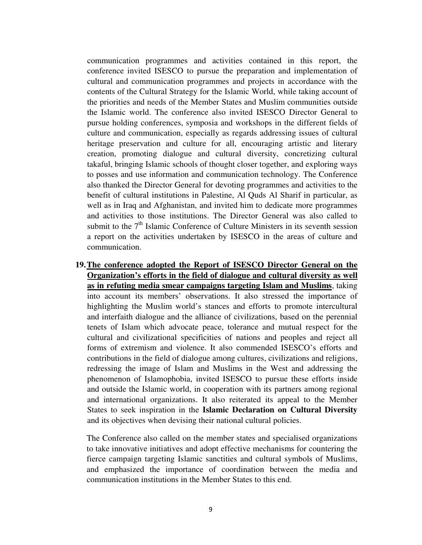communication programmes and activities contained in this report, the conference invited ISESCO to pursue the preparation and implementation of cultural and communication programmes and projects in accordance with the contents of the Cultural Strategy for the Islamic World, while taking account of the priorities and needs of the Member States and Muslim communities outside the Islamic world. The conference also invited ISESCO Director General to pursue holding conferences, symposia and workshops in the different fields of culture and communication, especially as regards addressing issues of cultural heritage preservation and culture for all, encouraging artistic and literary creation, promoting dialogue and cultural diversity, concretizing cultural takaful, bringing Islamic schools of thought closer together, and exploring ways to posses and use information and communication technology. The Conference also thanked the Director General for devoting programmes and activities to the benefit of cultural institutions in Palestine, Al Quds Al Sharif in particular, as well as in Iraq and Afghanistan, and invited him to dedicate more programmes and activities to those institutions. The Director General was also called to submit to the  $7<sup>th</sup>$  Islamic Conference of Culture Ministers in its seventh session a report on the activities undertaken by ISESCO in the areas of culture and communication.

**19.The conference adopted the Report of ISESCO Director General on the Organization's efforts in the field of dialogue and cultural diversity as well as in refuting media smear campaigns targeting Islam and Muslims**, taking into account its members' observations. It also stressed the importance of highlighting the Muslim world's stances and efforts to promote intercultural and interfaith dialogue and the alliance of civilizations, based on the perennial tenets of Islam which advocate peace, tolerance and mutual respect for the cultural and civilizational specificities of nations and peoples and reject all forms of extremism and violence. It also commended ISESCO's efforts and contributions in the field of dialogue among cultures, civilizations and religions, redressing the image of Islam and Muslims in the West and addressing the phenomenon of Islamophobia, invited ISESCO to pursue these efforts inside and outside the Islamic world, in cooperation with its partners among regional and international organizations. It also reiterated its appeal to the Member States to seek inspiration in the **Islamic Declaration on Cultural Diversity** and its objectives when devising their national cultural policies.

The Conference also called on the member states and specialised organizations to take innovative initiatives and adopt effective mechanisms for countering the fierce campaign targeting Islamic sanctities and cultural symbols of Muslims, and emphasized the importance of coordination between the media and communication institutions in the Member States to this end.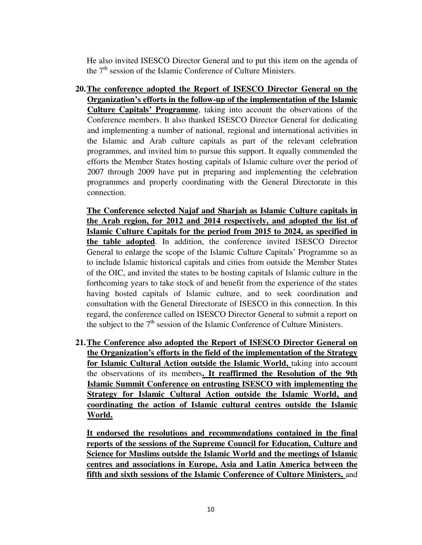He also invited ISESCO Director General and to put this item on the agenda of the  $7<sup>th</sup>$  session of the Islamic Conference of Culture Ministers.

**20.The conference adopted the Report of ISESCO Director General on the Organization's efforts in the follow-up of the implementation of the Islamic Culture Capitals' Programme**, taking into account the observations of the Conference members. It also thanked ISESCO Director General for dedicating and implementing a number of national, regional and international activities in the Islamic and Arab culture capitals as part of the relevant celebration programmes, and invited him to pursue this support. It equally commended the efforts the Member States hosting capitals of Islamic culture over the period of 2007 through 2009 have put in preparing and implementing the celebration programmes and properly coordinating with the General Directorate in this connection.

**The Conference selected Najaf and Sharjah as Islamic Culture capitals in the Arab region, for 2012 and 2014 respectively, and adopted the list of Islamic Culture Capitals for the period from 2015 to 2024, as specified in the table adopted**. In addition, the conference invited ISESCO Director General to enlarge the scope of the Islamic Culture Capitals' Programme so as to include Islamic historical capitals and cities from outside the Member States of the OIC, and invited the states to be hosting capitals of Islamic culture in the forthcoming years to take stock of and benefit from the experience of the states having hosted capitals of Islamic culture, and to seek coordination and consultation with the General Directorate of ISESCO in this connection. In this regard, the conference called on ISESCO Director General to submit a report on the subject to the  $7<sup>th</sup>$  session of the Islamic Conference of Culture Ministers.

**21.The Conference also adopted the Report of ISESCO Director General on the Organization's efforts in the field of the implementation of the Strategy for Islamic Cultural Action outside the Islamic World,** taking into account the observations of its members**. It reaffirmed the Resolution of the 9th Islamic Summit Conference on entrusting ISESCO with implementing the Strategy for Islamic Cultural Action outside the Islamic World, and coordinating the action of Islamic cultural centres outside the Islamic World.** 

**It endorsed the resolutions and recommendations contained in the final reports of the sessions of the Supreme Council for Education, Culture and Science for Muslims outside the Islamic World and the meetings of Islamic centres and associations in Europe, Asia and Latin America between the fifth and sixth sessions of the Islamic Conference of Culture Ministers,** and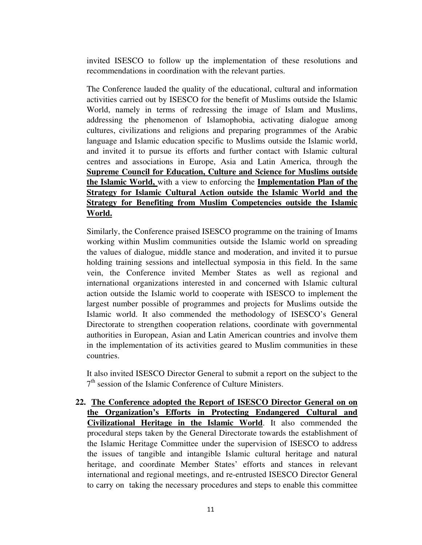invited ISESCO to follow up the implementation of these resolutions and recommendations in coordination with the relevant parties.

The Conference lauded the quality of the educational, cultural and information activities carried out by ISESCO for the benefit of Muslims outside the Islamic World, namely in terms of redressing the image of Islam and Muslims, addressing the phenomenon of Islamophobia, activating dialogue among cultures, civilizations and religions and preparing programmes of the Arabic language and Islamic education specific to Muslims outside the Islamic world, and invited it to pursue its efforts and further contact with Islamic cultural centres and associations in Europe, Asia and Latin America, through the **Supreme Council for Education, Culture and Science for Muslims outside the Islamic World,** with a view to enforcing the **Implementation Plan of the Strategy for Islamic Cultural Action outside the Islamic World and the Strategy for Benefiting from Muslim Competencies outside the Islamic World.**

Similarly, the Conference praised ISESCO programme on the training of Imams working within Muslim communities outside the Islamic world on spreading the values of dialogue, middle stance and moderation, and invited it to pursue holding training sessions and intellectual symposia in this field. In the same vein, the Conference invited Member States as well as regional and international organizations interested in and concerned with Islamic cultural action outside the Islamic world to cooperate with ISESCO to implement the largest number possible of programmes and projects for Muslims outside the Islamic world. It also commended the methodology of ISESCO's General Directorate to strengthen cooperation relations, coordinate with governmental authorities in European, Asian and Latin American countries and involve them in the implementation of its activities geared to Muslim communities in these countries.

It also invited ISESCO Director General to submit a report on the subject to the 7<sup>th</sup> session of the Islamic Conference of Culture Ministers.

**22. The Conference adopted the Report of ISESCO Director General on on the Organization's Efforts in Protecting Endangered Cultural and Civilizational Heritage in the Islamic World**. It also commended the procedural steps taken by the General Directorate towards the establishment of the Islamic Heritage Committee under the supervision of ISESCO to address the issues of tangible and intangible Islamic cultural heritage and natural heritage, and coordinate Member States' efforts and stances in relevant international and regional meetings, and re-entrusted ISESCO Director General to carry on taking the necessary procedures and steps to enable this committee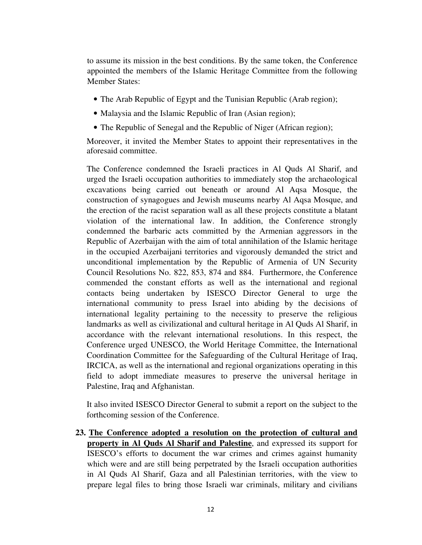to assume its mission in the best conditions. By the same token, the Conference appointed the members of the Islamic Heritage Committee from the following Member States:

- The Arab Republic of Egypt and the Tunisian Republic (Arab region);
- Malaysia and the Islamic Republic of Iran (Asian region);
- The Republic of Senegal and the Republic of Niger (African region);

Moreover, it invited the Member States to appoint their representatives in the aforesaid committee.

The Conference condemned the Israeli practices in Al Quds Al Sharif, and urged the Israeli occupation authorities to immediately stop the archaeological excavations being carried out beneath or around Al Aqsa Mosque, the construction of synagogues and Jewish museums nearby Al Aqsa Mosque, and the erection of the racist separation wall as all these projects constitute a blatant violation of the international law. In addition, the Conference strongly condemned the barbaric acts committed by the Armenian aggressors in the Republic of Azerbaijan with the aim of total annihilation of the Islamic heritage in the occupied Azerbaijani territories and vigorously demanded the strict and unconditional implementation by the Republic of Armenia of UN Security Council Resolutions No. 822, 853, 874 and 884. Furthermore, the Conference commended the constant efforts as well as the international and regional contacts being undertaken by ISESCO Director General to urge the international community to press Israel into abiding by the decisions of international legality pertaining to the necessity to preserve the religious landmarks as well as civilizational and cultural heritage in Al Quds Al Sharif, in accordance with the relevant international resolutions. In this respect, the Conference urged UNESCO, the World Heritage Committee, the International Coordination Committee for the Safeguarding of the Cultural Heritage of Iraq, IRCICA, as well as the international and regional organizations operating in this field to adopt immediate measures to preserve the universal heritage in Palestine, Iraq and Afghanistan.

It also invited ISESCO Director General to submit a report on the subject to the forthcoming session of the Conference.

**23. The Conference adopted a resolution on the protection of cultural and property in Al Quds Al Sharif and Palestine**, and expressed its support for ISESCO's efforts to document the war crimes and crimes against humanity which were and are still being perpetrated by the Israeli occupation authorities in Al Quds Al Sharif, Gaza and all Palestinian territories, with the view to prepare legal files to bring those Israeli war criminals, military and civilians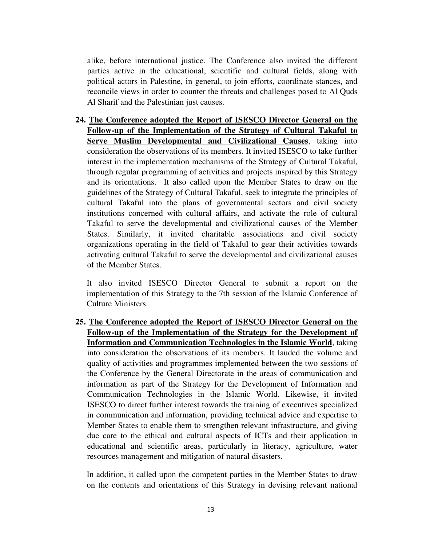alike, before international justice. The Conference also invited the different parties active in the educational, scientific and cultural fields, along with political actors in Palestine, in general, to join efforts, coordinate stances, and reconcile views in order to counter the threats and challenges posed to Al Quds Al Sharif and the Palestinian just causes.

**24. The Conference adopted the Report of ISESCO Director General on the Follow-up of the Implementation of the Strategy of Cultural Takaful to Serve Muslim Developmental and Civilizational Causes**, taking into consideration the observations of its members. It invited ISESCO to take further interest in the implementation mechanisms of the Strategy of Cultural Takaful, through regular programming of activities and projects inspired by this Strategy and its orientations. It also called upon the Member States to draw on the guidelines of the Strategy of Cultural Takaful, seek to integrate the principles of cultural Takaful into the plans of governmental sectors and civil society institutions concerned with cultural affairs, and activate the role of cultural Takaful to serve the developmental and civilizational causes of the Member States. Similarly, it invited charitable associations and civil society organizations operating in the field of Takaful to gear their activities towards activating cultural Takaful to serve the developmental and civilizational causes of the Member States.

It also invited ISESCO Director General to submit a report on the implementation of this Strategy to the 7th session of the Islamic Conference of Culture Ministers.

**25. The Conference adopted the Report of ISESCO Director General on the Follow-up of the Implementation of the Strategy for the Development of Information and Communication Technologies in the Islamic World**, taking into consideration the observations of its members. It lauded the volume and quality of activities and programmes implemented between the two sessions of the Conference by the General Directorate in the areas of communication and information as part of the Strategy for the Development of Information and Communication Technologies in the Islamic World. Likewise, it invited ISESCO to direct further interest towards the training of executives specialized in communication and information, providing technical advice and expertise to Member States to enable them to strengthen relevant infrastructure, and giving due care to the ethical and cultural aspects of ICTs and their application in educational and scientific areas, particularly in literacy, agriculture, water resources management and mitigation of natural disasters.

In addition, it called upon the competent parties in the Member States to draw on the contents and orientations of this Strategy in devising relevant national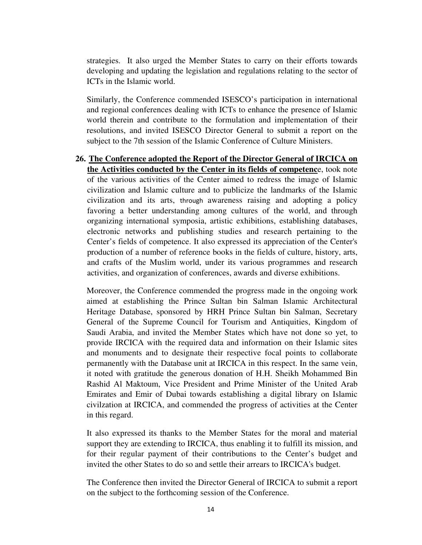strategies. It also urged the Member States to carry on their efforts towards developing and updating the legislation and regulations relating to the sector of ICTs in the Islamic world.

Similarly, the Conference commended ISESCO's participation in international and regional conferences dealing with ICTs to enhance the presence of Islamic world therein and contribute to the formulation and implementation of their resolutions, and invited ISESCO Director General to submit a report on the subject to the 7th session of the Islamic Conference of Culture Ministers.

**26. The Conference adopted the Report of the Director General of IRCICA on the Activities conducted by the Center in its fields of competenc**e, took note of the various activities of the Center aimed to redress the image of Islamic civilization and Islamic culture and to publicize the landmarks of the Islamic civilization and its arts, through awareness raising and adopting a policy favoring a better understanding among cultures of the world, and through organizing international symposia, artistic exhibitions, establishing databases, electronic networks and publishing studies and research pertaining to the Center's fields of competence. It also expressed its appreciation of the Center's production of a number of reference books in the fields of culture, history, arts, and crafts of the Muslim world, under its various programmes and research activities, and organization of conferences, awards and diverse exhibitions.

Moreover, the Conference commended the progress made in the ongoing work aimed at establishing the Prince Sultan bin Salman Islamic Architectural Heritage Database, sponsored by HRH Prince Sultan bin Salman, Secretary General of the Supreme Council for Tourism and Antiquities, Kingdom of Saudi Arabia, and invited the Member States which have not done so yet, to provide IRCICA with the required data and information on their Islamic sites and monuments and to designate their respective focal points to collaborate permanently with the Database unit at IRCICA in this respect. In the same vein, it noted with gratitude the generous donation of H.H. Sheikh Mohammed Bin Rashid Al Maktoum, Vice President and Prime Minister of the United Arab Emirates and Emir of Dubai towards establishing a digital library on Islamic civilzation at IRCICA, and commended the progress of activities at the Center in this regard.

It also expressed its thanks to the Member States for the moral and material support they are extending to IRCICA, thus enabling it to fulfill its mission, and for their regular payment of their contributions to the Center's budget and invited the other States to do so and settle their arrears to IRCICA's budget.

The Conference then invited the Director General of IRCICA to submit a report on the subject to the forthcoming session of the Conference.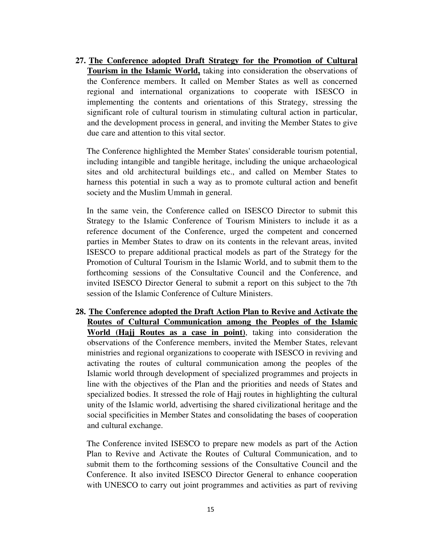**27. The Conference adopted Draft Strategy for the Promotion of Cultural Tourism in the Islamic World,** taking into consideration the observations of the Conference members. It called on Member States as well as concerned regional and international organizations to cooperate with ISESCO in implementing the contents and orientations of this Strategy, stressing the significant role of cultural tourism in stimulating cultural action in particular, and the development process in general, and inviting the Member States to give due care and attention to this vital sector.

The Conference highlighted the Member States' considerable tourism potential, including intangible and tangible heritage, including the unique archaeological sites and old architectural buildings etc., and called on Member States to harness this potential in such a way as to promote cultural action and benefit society and the Muslim Ummah in general.

In the same vein, the Conference called on ISESCO Director to submit this Strategy to the Islamic Conference of Tourism Ministers to include it as a reference document of the Conference, urged the competent and concerned parties in Member States to draw on its contents in the relevant areas, invited ISESCO to prepare additional practical models as part of the Strategy for the Promotion of Cultural Tourism in the Islamic World, and to submit them to the forthcoming sessions of the Consultative Council and the Conference, and invited ISESCO Director General to submit a report on this subject to the 7th session of the Islamic Conference of Culture Ministers.

**28. The Conference adopted the Draft Action Plan to Revive and Activate the Routes of Cultural Communication among the Peoples of the Islamic World (Hajj Routes as a case in point)**, taking into consideration the observations of the Conference members, invited the Member States, relevant ministries and regional organizations to cooperate with ISESCO in reviving and activating the routes of cultural communication among the peoples of the Islamic world through development of specialized programmes and projects in line with the objectives of the Plan and the priorities and needs of States and specialized bodies. It stressed the role of Hajj routes in highlighting the cultural unity of the Islamic world, advertising the shared civilizational heritage and the social specificities in Member States and consolidating the bases of cooperation and cultural exchange.

The Conference invited ISESCO to prepare new models as part of the Action Plan to Revive and Activate the Routes of Cultural Communication, and to submit them to the forthcoming sessions of the Consultative Council and the Conference. It also invited ISESCO Director General to enhance cooperation with UNESCO to carry out joint programmes and activities as part of reviving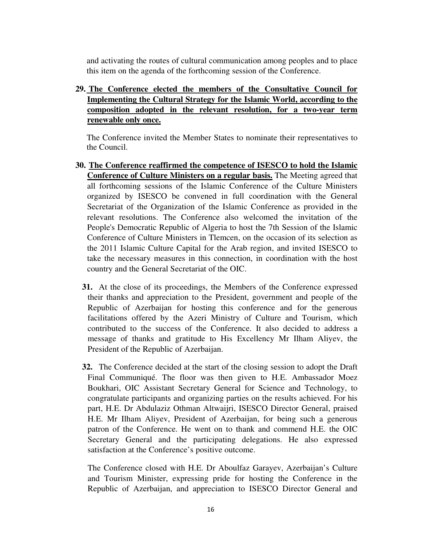and activating the routes of cultural communication among peoples and to place this item on the agenda of the forthcoming session of the Conference.

**29. The Conference elected the members of the Consultative Council for Implementing the Cultural Strategy for the Islamic World, according to the composition adopted in the relevant resolution, for a two-year term renewable only once.**

The Conference invited the Member States to nominate their representatives to the Council.

- **30. The Conference reaffirmed the competence of ISESCO to hold the Islamic Conference of Culture Ministers on a regular basis.** The Meeting agreed that all forthcoming sessions of the Islamic Conference of the Culture Ministers organized by ISESCO be convened in full coordination with the General Secretariat of the Organization of the Islamic Conference as provided in the relevant resolutions. The Conference also welcomed the invitation of the People's Democratic Republic of Algeria to host the 7th Session of the Islamic Conference of Culture Ministers in Tlemcen, on the occasion of its selection as the 2011 Islamic Culture Capital for the Arab region, and invited ISESCO to take the necessary measures in this connection, in coordination with the host country and the General Secretariat of the OIC.
	- **31.** At the close of its proceedings, the Members of the Conference expressed their thanks and appreciation to the President, government and people of the Republic of Azerbaijan for hosting this conference and for the generous facilitations offered by the Azeri Ministry of Culture and Tourism, which contributed to the success of the Conference. It also decided to address a message of thanks and gratitude to His Excellency Mr Ilham Aliyev, the President of the Republic of Azerbaijan.
	- **32.** The Conference decided at the start of the closing session to adopt the Draft Final Communiqué. The floor was then given to H.E. Ambassador Moez Boukhari, OIC Assistant Secretary General for Science and Technology, to congratulate participants and organizing parties on the results achieved. For his part, H.E. Dr Abdulaziz Othman Altwaijri, ISESCO Director General, praised H.E. Mr Ilham Aliyev, President of Azerbaijan, for being such a generous patron of the Conference. He went on to thank and commend H.E. the OIC Secretary General and the participating delegations. He also expressed satisfaction at the Conference's positive outcome.

The Conference closed with H.E. Dr Aboulfaz Garayev, Azerbaijan's Culture and Tourism Minister, expressing pride for hosting the Conference in the Republic of Azerbaijan, and appreciation to ISESCO Director General and